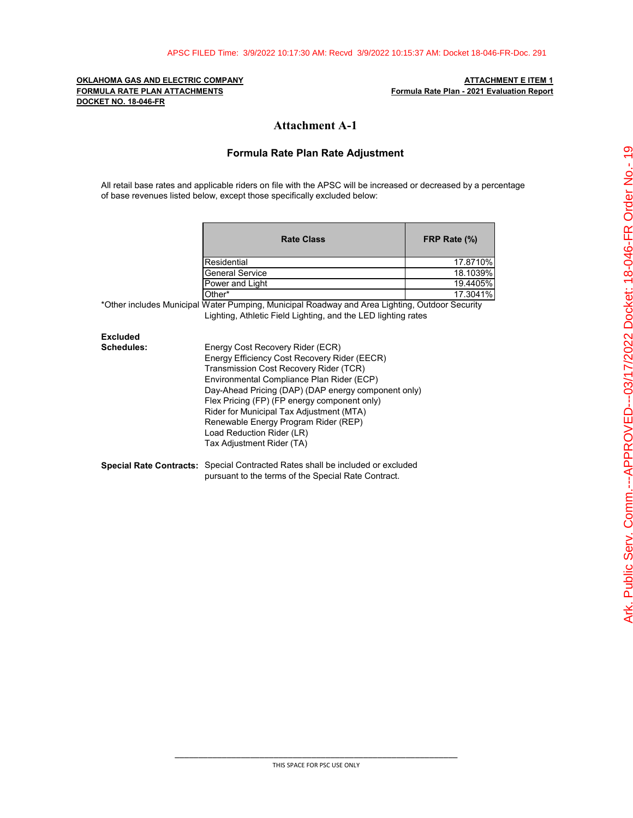**FORMULA RATE PLAN ATTACHMENTS Formula Rate Plan - 2021 Evaluation Report DOCKET NO. 18-046-FR**

# **OKLAHOMA GAS AND ELECTRIC COMPANY ATTACHMENT E ITEM 1**

# **Attachment A-1**

## **Formula Rate Plan Rate Adjustment**

All retail base rates and applicable riders on file with the APSC will be increased or decreased by a percentage of base revenues listed below, except those specifically excluded below:

|            | <b>Rate Class</b>                                                                                                                                                                                                                                                                                                                                                                                                            | FRP Rate (%) |  |  |  |  |
|------------|------------------------------------------------------------------------------------------------------------------------------------------------------------------------------------------------------------------------------------------------------------------------------------------------------------------------------------------------------------------------------------------------------------------------------|--------------|--|--|--|--|
|            | Residential                                                                                                                                                                                                                                                                                                                                                                                                                  | 17.8710%     |  |  |  |  |
|            | <b>General Service</b>                                                                                                                                                                                                                                                                                                                                                                                                       | 18.1039%     |  |  |  |  |
|            | Power and Light                                                                                                                                                                                                                                                                                                                                                                                                              | 19.4405%     |  |  |  |  |
|            | Other*                                                                                                                                                                                                                                                                                                                                                                                                                       | 17.3041%     |  |  |  |  |
|            | *Other includes Municipal Water Pumping, Municipal Roadway and Area Lighting, Outdoor Security<br>Lighting, Athletic Field Lighting, and the LED lighting rates                                                                                                                                                                                                                                                              |              |  |  |  |  |
| Excluded   |                                                                                                                                                                                                                                                                                                                                                                                                                              |              |  |  |  |  |
| Schedules: | Energy Cost Recovery Rider (ECR)<br>Energy Efficiency Cost Recovery Rider (EECR)<br>Transmission Cost Recovery Rider (TCR)<br>Environmental Compliance Plan Rider (ECP)<br>Day-Ahead Pricing (DAP) (DAP energy component only)<br>Flex Pricing (FP) (FP energy component only)<br>Rider for Municipal Tax Adjustment (MTA)<br>Renewable Energy Program Rider (REP)<br>Load Reduction Rider (LR)<br>Tax Adjustment Rider (TA) |              |  |  |  |  |
|            | <b>Special Rate Contracts:</b> Special Contracted Rates shall be included or excluded<br>pursuant to the terms of the Special Rate Contract.                                                                                                                                                                                                                                                                                 |              |  |  |  |  |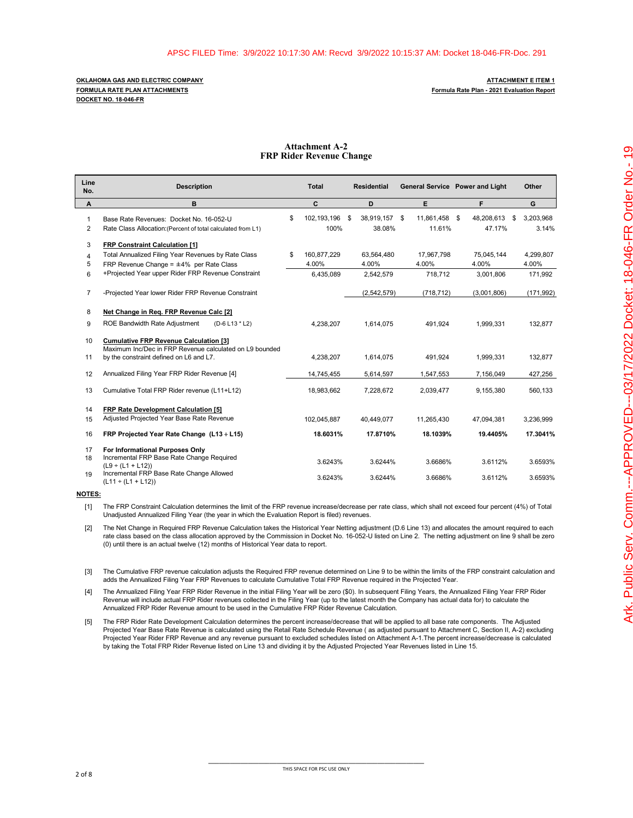**DOCKET NO. 18-046-FR**

### **Attachment A-2 FRP Rider Revenue Change**

| Line<br>No.       | <b>Description</b>                                                                                       | <b>Total</b>                    | <b>Residential</b>      |                         | General Service Power and Light |   | Other              |
|-------------------|----------------------------------------------------------------------------------------------------------|---------------------------------|-------------------------|-------------------------|---------------------------------|---|--------------------|
| Α                 | в                                                                                                        | C                               | D                       | E                       | F                               |   | G                  |
| $\mathbf{1}$<br>2 | Base Rate Revenues: Docket No. 16-052-U<br>Rate Class Allocation: (Percent of total calculated from L1)  | \$<br>102.193.196<br>\$<br>100% | 38,919,157 \$<br>38.08% | 11.861.458 \$<br>11.61% | 48.208.613<br>47.17%            | S | 3,203,968<br>3.14% |
| 3                 | FRP Constraint Calculation [1]                                                                           |                                 |                         |                         |                                 |   |                    |
| 4<br>5            | Total Annualized Filing Year Revenues by Rate Class<br>FRP Revenue Change = $\pm 4\%$ per Rate Class     | \$<br>160,877,229<br>4.00%      | 63,564,480<br>4.00%     | 17,967,798<br>4.00%     | 75,045,144<br>4.00%             |   | 4,299,807<br>4.00% |
| 6                 | +Projected Year upper Rider FRP Revenue Constraint                                                       | 6,435,089                       | 2,542,579               | 718,712                 | 3,001,806                       |   | 171,992            |
| 7                 | -Projected Year lower Rider FRP Revenue Constraint                                                       |                                 | (2,542,579)             | (718, 712)              | (3,001,806)                     |   | (171, 992)         |
| 8                 | Net Change in Reg. FRP Revenue Calc [2]                                                                  |                                 |                         |                         |                                 |   |                    |
| 9                 | ROE Bandwidth Rate Adjustment<br>(D-6 L13 * L2)                                                          | 4,238,207                       | 1,614,075               | 491,924                 | 1,999,331                       |   | 132,877            |
| 10                | <b>Cumulative FRP Revenue Calculation [3]</b><br>Maximum Inc/Dec in FRP Revenue calculated on L9 bounded |                                 |                         |                         |                                 |   |                    |
| 11                | by the constraint defined on L6 and L7.                                                                  | 4,238,207                       | 1,614,075               | 491,924                 | 1,999,331                       |   | 132,877            |
| 12                | Annualized Filing Year FRP Rider Revenue [4]                                                             | 14,745,455                      | 5,614,597               | 1,547,553               | 7,156,049                       |   | 427,256            |
| 13                | Cumulative Total FRP Rider revenue (L11+L12)                                                             | 18,983,662                      | 7,228,672               | 2,039,477               | 9,155,380                       |   | 560,133            |
| 14<br>15          | <b>FRP Rate Development Calculation [5]</b><br>Adjusted Projected Year Base Rate Revenue                 | 102,045,887                     | 40.449.077              | 11.265.430              | 47.094.381                      |   | 3,236,999          |
| 16                | FRP Projected Year Rate Change (L13 ÷ L15)                                                               | 18.6031%                        | 17.8710%                | 18.1039%                | 19.4405%                        |   | 17.3041%           |
| 17<br>18          | For Informational Purposes Only<br>Incremental FRP Base Rate Change Required<br>$(L9 \div (L1 + L12))$   | 3.6243%                         | 3.6244%                 | 3.6686%                 | 3.6112%                         |   | 3.6593%            |
| 19                | Incremental FRP Base Rate Change Allowed<br>$(L11 \div (L1 + L12))$                                      | 3.6243%                         | 3.6244%                 | 3.6686%                 | 3.6112%                         |   | 3.6593%            |

**NOTES:**

[1] The FRP Constraint Calculation determines the limit of the FRP revenue increase/decrease per rate class, which shall not exceed four percent (4%) of Total Unadjusted Annualized Filing Year (the year in which the Evaluation Report is filed) revenues.

[2] The Net Change in Required FRP Revenue Calculation takes the Historical Year Netting adjustment (D.6 Line 13) and allocates the amount required to each rate class based on the class allocation approved by the Commission in Docket No. 16-052-U listed on Line 2. The netting adjustment on line 9 shall be zero (0) until there is an actual twelve (12) months of Historical Year data to report.

[3] The Cumulative FRP revenue calculation adjusts the Required FRP revenue determined on Line 9 to be within the limits of the FRP constraint calculation and adds the Annualized Filing Year FRP Revenues to calculate Cumulative Total FRP Revenue required in the Projected Year.

[4] The Annualized Filing Year FRP Rider Revenue in the initial Filing Year will be zero (\$0). In subsequent Filing Years, the Annualized Filing Year FRP Rider Revenue will include actual FRP Rider revenues collected in the Filing Year (up to the latest month the Company has actual data for) to calculate the Annualized FRP Rider Revenue amount to be used in the Cumulative FRP Rider Revenue Calculation.

[5] The FRP Rider Rate Development Calculation determines the percent increase/decrease that will be applied to all base rate components. The Adjusted Projected Year Base Rate Revenue is calculated using the Retail Rate Schedule Revenue ( as adjusted pursuant to Attachment C, Section II, A-2) excluding Projected Year Rider FRP Revenue and any revenue pursuant to excluded schedules listed on Attachment A-1.The percent increase/decrease is calculated by taking the Total FRP Rider Revenue listed on Line 13 and dividing it by the Adjusted Projected Year Revenues listed in Line 15.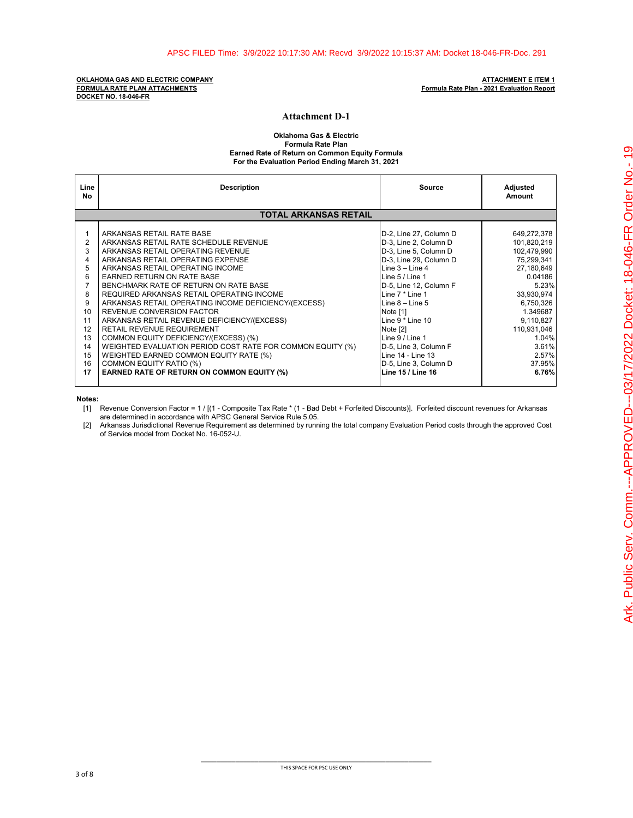**OKLAHOMA GAS AND ELECTRIC COMPANY ATTACHMENT E ITEM 1 FORMULA RATE PLAN ATTACHMENTS Formula Rate Plan - 2021 Evaluation Report DOCKET NO. 18-046-FR**

### **Attachment D-1**

**Oklahoma Gas & Electric Formula Rate Plan Earned Rate of Return on Common Equity Formula For the Evaluation Period Ending March 31, 2021**

| Line<br>No                                                                                             | <b>Description</b>                                                                                                                                                                                                                                                                                                                                                                                                                                                                                                                                                                                                                                                                                             | Source                                                                                                                                                                                                                                                                                                                                                                        | Adjusted<br>Amount                                                                                                                                                                                         |
|--------------------------------------------------------------------------------------------------------|----------------------------------------------------------------------------------------------------------------------------------------------------------------------------------------------------------------------------------------------------------------------------------------------------------------------------------------------------------------------------------------------------------------------------------------------------------------------------------------------------------------------------------------------------------------------------------------------------------------------------------------------------------------------------------------------------------------|-------------------------------------------------------------------------------------------------------------------------------------------------------------------------------------------------------------------------------------------------------------------------------------------------------------------------------------------------------------------------------|------------------------------------------------------------------------------------------------------------------------------------------------------------------------------------------------------------|
|                                                                                                        | <b>TOTAL ARKANSAS RETAIL</b>                                                                                                                                                                                                                                                                                                                                                                                                                                                                                                                                                                                                                                                                                   |                                                                                                                                                                                                                                                                                                                                                                               |                                                                                                                                                                                                            |
| 1<br>$\overline{2}$<br>3<br>4<br>5<br>6<br>7<br>8<br>9<br>10<br>11<br>12<br>13<br>14<br>15<br>16<br>17 | ARKANSAS RETAIL RATE BASE<br>ARKANSAS RETAIL RATE SCHEDULE REVENUE<br>ARKANSAS RETAIL OPERATING REVENUE<br>ARKANSAS RETAIL OPERATING EXPENSE<br>ARKANSAS RETAIL OPERATING INCOME<br><b>EARNED RETURN ON RATE BASE</b><br>BENCHMARK RATE OF RETURN ON RATE BASE<br>REQUIRED ARKANSAS RETAIL OPERATING INCOME<br>ARKANSAS RETAIL OPERATING INCOME DEFICIENCY/(EXCESS)<br>REVENUE CONVERSION FACTOR<br>ARKANSAS RETAIL REVENUE DEFICIENCY/(EXCESS)<br>RETAIL REVENUE REQUIREMENT<br>COMMON EQUITY DEFICIENCY/(EXCESS) (%)<br>WEIGHTED EVALUATION PERIOD COST RATE FOR COMMON EQUITY (%)<br>WEIGHTED EARNED COMMON EQUITY RATE (%)<br>COMMON EQUITY RATIO (%)<br><b>EARNED RATE OF RETURN ON COMMON EQUITY (%)</b> | D-2, Line 27, Column D<br>D-3, Line 2, Column D<br>D-3, Line 5, Column D<br>D-3, Line 29, Column D<br>Line $3 -$ Line $4$<br>Line $5/$ Line 1<br>D-5, Line 12, Column F<br>Line 7 * Line 1<br>Line $8 -$ Line $5$<br>Note [1]<br>Line $9*$ Line 10<br>Note [2]<br>Line 9 / Line 1<br>D-5, Line 3, Column F<br>Line 14 - Line 13<br>D-5, Line 3, Column D<br>Line 15 / Line 16 | 649,272,378<br>101,820,219<br>102,479,990<br>75,299,341<br>27,180,649<br>0.04186<br>5.23%<br>33,930,974<br>6,750,326<br>1.349687<br>9,110,827<br>110,931,046<br>1.04%<br>3.61%<br>2.57%<br>37.95%<br>6.76% |

**Notes:**

[1] Revenue Conversion Factor = 1 / [(1 - Composite Tax Rate \* (1 - Bad Debt + Forfeited Discounts)]. Forfeited discount revenues for Arkansas are determined in accordance with APSC General Service Rule 5.05.

[2] Arkansas Jurisdictional Revenue Requirement as determined by running the total company Evaluation Period costs through the approved Cost of Service model from Docket No. 16-052-U.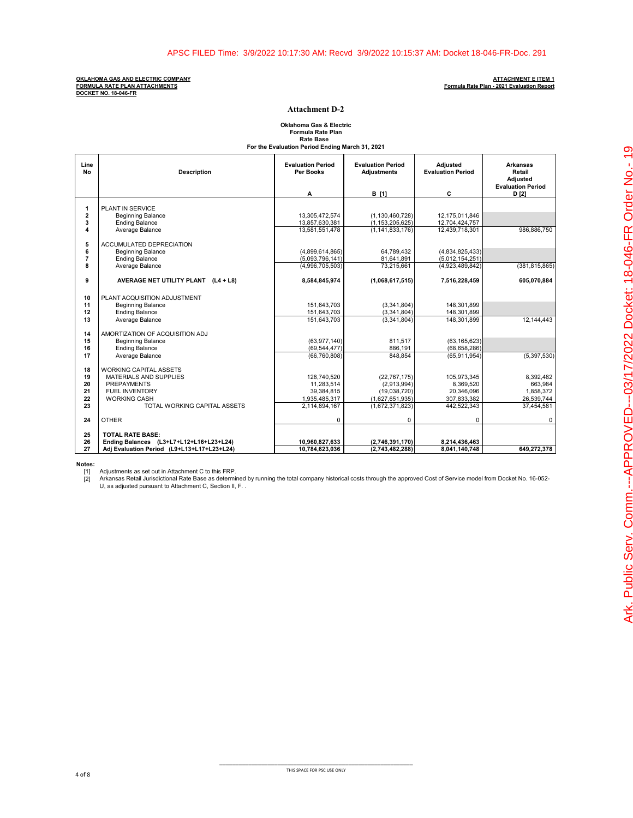**OKLAHOMA GAS AND ELECTRIC COMPANY ATTACHMENT E ITEM 1 FORMULA RATE PLAN ATTACHMENTS<br>DOCKET NO. 18-046-FR** 

# **Formula Rate Plan - 2021 Evaluation Report**

### **Attachment D-2**

# **Formula Rate Plan Rate Base For the Evaluation Period Ending March 31, 2021 Oklahoma Gas & Electric**

| Line<br>No              | <b>Description</b>                           | <b>Evaluation Period</b><br><b>Per Books</b> | <b>Evaluation Period</b><br><b>Adjustments</b> | <b>Adjusted</b><br><b>Evaluation Period</b> | <b>Arkansas</b><br>Retail<br><b>Adiusted</b> |
|-------------------------|----------------------------------------------|----------------------------------------------|------------------------------------------------|---------------------------------------------|----------------------------------------------|
|                         |                                              | Α                                            | <b>B</b> [1]                                   | C                                           | <b>Evaluation Period</b><br>D [2]            |
|                         |                                              |                                              |                                                |                                             |                                              |
| 1<br>$\overline{2}$     | PLANT IN SERVICE<br><b>Beginning Balance</b> | 13,305,472,574                               | (1, 130, 460, 728)                             | 12,175,011,846                              |                                              |
| $\overline{\mathbf{3}}$ | <b>Ending Balance</b>                        | 13,857,630,381                               | (1, 153, 205, 625)                             | 12,704,424,757                              |                                              |
| 4                       | Average Balance                              | 13.581.551.478                               | (1.141.833.176)                                | 12.439.718.301                              | 986.886.750                                  |
|                         |                                              |                                              |                                                |                                             |                                              |
| 5                       | ACCUMULATED DEPRECIATION                     |                                              |                                                |                                             |                                              |
| 6                       | <b>Beginning Balance</b>                     | (4,899,614,865)                              | 64.789.432                                     | (4,834,825,433)                             |                                              |
| $\overline{7}$          | <b>Ending Balance</b>                        | (5,093,796,141)                              | 81,641,891                                     | (5,012,154,251)                             |                                              |
| R                       | Average Balance                              | (4,996,705,503)                              | 73.215.661                                     | (4,923,489,842)                             | (381, 815, 865)                              |
|                         |                                              |                                              |                                                |                                             |                                              |
| 9                       | AVERAGE NET UTILITY PLANT (L4 + L8)          | 8,584,845,974                                | (1,068,617,515)                                | 7,516,228,459                               | 605,070,884                                  |
|                         |                                              |                                              |                                                |                                             |                                              |
| 10                      | PLANT ACQUISITION ADJUSTMENT                 |                                              |                                                |                                             |                                              |
| 11                      | <b>Beginning Balance</b>                     | 151.643.703                                  | (3,341,804)                                    | 148,301,899                                 |                                              |
| 12                      | <b>Ending Balance</b>                        | 151,643,703                                  | (3,341,804)                                    | 148,301,899                                 |                                              |
| 13                      | Average Balance                              | 151.643.703                                  | (3,341,804)                                    | 148,301,899                                 | 12.144.443                                   |
|                         |                                              |                                              |                                                |                                             |                                              |
| 14                      | AMORTIZATION OF ACQUISITION ADJ              |                                              |                                                |                                             |                                              |
| 15                      | <b>Beginning Balance</b>                     | (63,977,140)                                 | 811.517                                        | (63, 165, 623)                              |                                              |
| 16<br>17                | <b>Ending Balance</b>                        | (69, 544, 477)                               | 886,191                                        | (68, 658, 286)                              |                                              |
|                         | Average Balance                              | (66, 760, 808)                               | 848.854                                        | (65, 911, 954)                              | (5,397,530)                                  |
| 18                      | <b>WORKING CAPITAL ASSETS</b>                |                                              |                                                |                                             |                                              |
| 19                      | <b>MATERIALS AND SUPPLIES</b>                | 128.740.520                                  | (22, 767, 175)                                 | 105.973.345                                 | 8.392.482                                    |
| 20                      | PREPAYMENTS                                  | 11,283,514                                   | (2,913,994)                                    | 8,369,520                                   | 663,984                                      |
| 21                      | FUEL INVENTORY                               | 39,384,815                                   | (19,038,720)                                   | 20,346,096                                  | 1.858.372                                    |
| 22                      | <b>WORKING CASH</b>                          | 1,935,485,317                                | (1,627,651,935)                                | 307,833,382                                 | 26,539,744                                   |
| 23                      | TOTAL WORKING CAPITAL ASSETS                 | 2,114,894,167                                | (1,672,371,823)                                | 442,522,343                                 | 37,454,581                                   |
|                         |                                              |                                              |                                                |                                             |                                              |
| 24                      | <b>OTHER</b>                                 | $\mathbf 0$                                  | 0                                              | 0                                           | 0                                            |
|                         |                                              |                                              |                                                |                                             |                                              |
| 25                      | <b>TOTAL RATE BASE:</b>                      |                                              |                                                |                                             |                                              |
| 26                      | Ending Balances (L3+L7+L12+L16+L23+L24)      | 10,960,827,633                               | (2,746,391,170)                                | 8,214,436,463                               |                                              |
| 27                      | Adj Evaluation Period (L9+L13+L17+L23+L24)   | 10,784,623,036                               | (2,743,482,288)                                | 8,041,140,748                               | 649,272,378                                  |

**Notes:**

[1] Adjustments as set out in Attachment C to this FRP.<br>[2] Arkansas Retail Jurisdictional Rate Base as determined by running the total company historical costs through the approved Cost of Service model from Docket No.

\_\_\_\_\_\_\_\_\_\_\_\_\_\_\_\_\_\_\_\_\_\_\_\_\_\_\_\_\_\_\_\_\_\_\_\_\_\_\_\_\_\_\_\_\_\_\_\_\_\_\_\_\_\_\_\_\_\_\_\_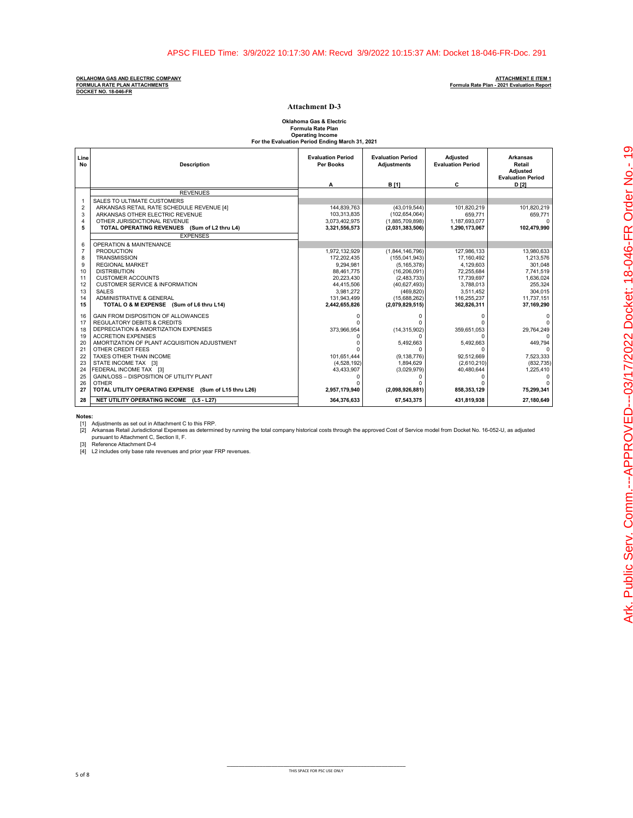### **OKLAHOMA GAS AND ELECTRIC COMPANY ATTACHMENT E ITEM 1 FORMULA RATE PLAN ATTACHMENTS Formula Rate Plan - 2021 Evaluation Report DOCKET NO. 18-046-FR**

### **Attachment D-3**

# **Formula Rate Plan Operating Income For the Evaluation Period Ending March 31, 2021 Oklahoma Gas & Electric**

| Line<br>No     | <b>Description</b>                                    | <b>Evaluation Period</b><br><b>Per Books</b> | <b>Evaluation Period</b><br><b>Adjustments</b> | Adjusted<br><b>Evaluation Period</b> | <b>Arkansas</b><br>Retail<br>Adjusted |
|----------------|-------------------------------------------------------|----------------------------------------------|------------------------------------------------|--------------------------------------|---------------------------------------|
|                |                                                       |                                              |                                                |                                      | <b>Evaluation Period</b>              |
|                |                                                       | A                                            | <b>B</b> [1]                                   | c                                    | D [2]                                 |
|                | <b>REVENUES</b>                                       |                                              |                                                |                                      |                                       |
| $\overline{1}$ | SALES TO ULTIMATE CUSTOMERS                           |                                              |                                                |                                      |                                       |
| $\overline{2}$ | ARKANSAS RETAIL RATE SCHEDULE REVENUE [4]             | 144,839,763                                  | (43,019,544)                                   | 101,820,219                          | 101,820,219                           |
| 3              | ARKANSAS OTHER ELECTRIC REVENUE                       | 103,313,835                                  | (102, 654, 064)                                | 659,771                              | 659,771                               |
| $\overline{4}$ | OTHER JURISDICTIONAL REVENUE                          | 3,073,402,975                                | (1,885,709,898)                                | 1,187,693,077                        | $\Omega$                              |
| 5              | TOTAL OPERATING REVENUES (Sum of L2 thru L4)          | 3,321,556,573                                | (2,031,383,506)                                | 1,290,173,067                        | 102,479,990                           |
|                | <b>EXPENSES</b>                                       |                                              |                                                |                                      |                                       |
| 6              | OPERATION & MAINTENANCE                               |                                              |                                                |                                      |                                       |
| $\overline{7}$ | <b>PRODUCTION</b>                                     | 1,972,132,929                                | (1,844,146,796)                                | 127,986,133                          | 13,980,633                            |
| 8              | <b>TRANSMISSION</b>                                   | 172.202.435                                  | (155,041,943)                                  | 17.160.492                           | 1.213.576                             |
| 9              | <b>REGIONAL MARKET</b>                                | 9.294.981                                    | (5, 165, 378)                                  | 4.129.603                            | 301.048                               |
| 10             | <b>DISTRIBUTION</b>                                   | 88,461,775                                   | (16, 206, 091)                                 | 72,255,684                           | 7,741,519                             |
| 11             | <b>CUSTOMER ACCOUNTS</b>                              | 20,223,430                                   | (2,483,733)                                    | 17,739,697                           | 1,636,024                             |
| 12             | <b>CUSTOMER SERVICE &amp; INFORMATION</b>             | 44,415,506                                   | (40,627,493)                                   | 3,788,013                            | 255.324                               |
| 13<br>14       | <b>SALES</b><br>ADMINISTRATIVE & GENERAL              | 3,981,272<br>131,943,499                     | (469, 820)                                     | 3,511,452<br>116,255,237             | 304.015<br>11,737,151                 |
| 15             | TOTAL O & M EXPENSE (Sum of L6 thru L14)              | 2,442,655,826                                | (15,688,262)<br>(2,079,829,515)                | 362,826,311                          | 37,169,290                            |
|                |                                                       |                                              |                                                |                                      |                                       |
| 16             | GAIN FROM DISPOSITION OF ALLOWANCES                   | $\Omega$                                     | O                                              | $\Omega$                             | 0                                     |
| 17             | <b>REGULATORY DEBITS &amp; CREDITS</b>                |                                              |                                                |                                      |                                       |
| 18             | DEPRECIATION & AMORTIZATION EXPENSES                  | 373,966,954                                  | (14, 315, 902)                                 | 359,651,053                          | 29,764,249                            |
| 19             | <b>ACCRETION EXPENSES</b>                             | n                                            | $\Omega$                                       | $\Omega$                             | $\Omega$                              |
| 20             | AMORTIZATION OF PLANT ACQUISITION ADJUSTMENT          |                                              | 5,492,663                                      | 5,492,663                            | 449.794                               |
| 21<br>22       | OTHER CREDIT FEES                                     |                                              | $\Omega$                                       | $\Omega$                             | $\Omega$                              |
|                | TAXES OTHER THAN INCOME                               | 101.651.444                                  | (9, 138, 776)                                  | 92.512.669                           | 7.523.333                             |
| 23<br>24       | STATE INCOME TAX [3]<br>FEDERAL INCOME TAX [3]        | (4,528,192)<br>43,433,907                    | 1,894,629<br>(3,029,979)                       | (2,610,210)<br>40,480,644            | (832, 735)<br>1,225,410               |
| 25             | GAIN/LOSS - DISPOSITION OF UTILITY PLANT              | 0                                            |                                                | 0                                    | 0                                     |
| 26             | <b>OTHER</b>                                          |                                              |                                                |                                      | $\Omega$                              |
| 27             | TOTAL UTILITY OPERATING EXPENSE (Sum of L15 thru L26) | 2,957,179,940                                | (2,098,926,881)                                | 858,353,129                          | 75,299,341                            |
| 28             | NET UTILITY OPERATING INCOME (L5 - L27)               | 364,376,633                                  | 67,543,375                                     | 431,819,938                          | 27,180,649                            |

**Notes:**<br>[1] Adjustments as set out in Attachment C to this FRP.<br>[2] Arkansas Retail Jurisdictional Expenses as determir Arkansas Retail Jurisdictional Expenses as determined by running the total company historical costs through the approved Cost of Service model from Docket No. 16-052-U, as adjusted<br>pursuant to Attachment C, Section II, F.

[3] Reference Attachment D-4 [4] L2 includes only base rate revenues and prior year FRP revenues.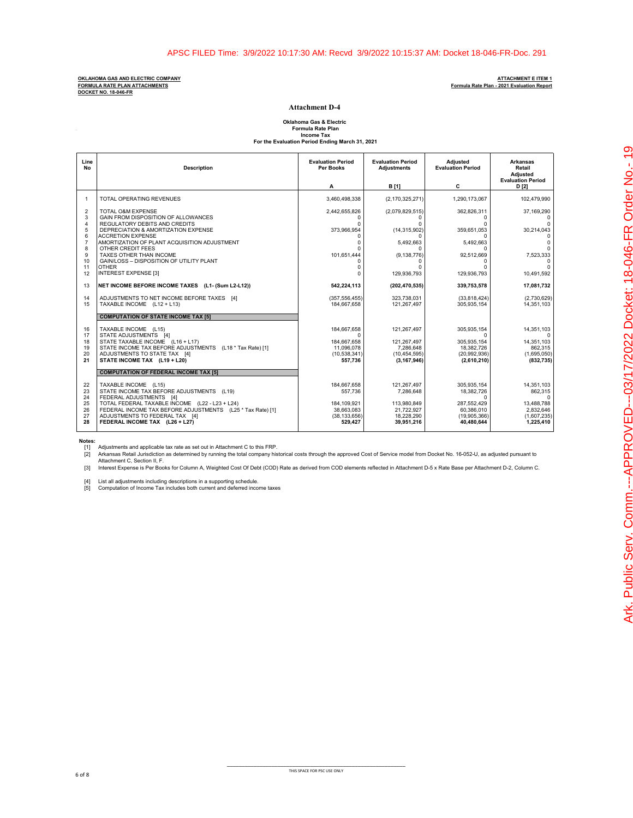**OKLAHOMA GAS AND ELECTRIC COMPANY ATTACHMENT E ITEM 1 FORMULA RATE PLAN ATTACHMENTS Formula Rate Plan - 2021 Evaluation Report DOCKET NO. 18-046-FR**

**All Angeles** 

### **Attachment D-4**

**Oklahoma Gas & Electric Formula Rate Plan Income Tax For the Evaluation Period Ending March 31, 2021**

| Line<br><b>No</b>                          | <b>Description</b>                                                                                                                                                                                                                             | <b>Evaluation Period</b><br>Per Books                                  | <b>Evaluation Period</b><br><b>Adjustments</b>                      | Adjusted<br><b>Evaluation Period</b>                                        | <b>Arkansas</b><br>Retail<br><b>Adjusted</b><br><b>Evaluation Period</b>    |
|--------------------------------------------|------------------------------------------------------------------------------------------------------------------------------------------------------------------------------------------------------------------------------------------------|------------------------------------------------------------------------|---------------------------------------------------------------------|-----------------------------------------------------------------------------|-----------------------------------------------------------------------------|
|                                            |                                                                                                                                                                                                                                                | A                                                                      | <b>B</b> [1]                                                        | C                                                                           | D [2]                                                                       |
| $\mathbf{1}$                               | TOTAL OPERATING REVENUES                                                                                                                                                                                                                       | 3,460,498,338                                                          | (2, 170, 325, 271)                                                  | 1.290.173.067                                                               | 102.479.990                                                                 |
| $\overline{2}$<br>3<br>$\overline{4}$<br>5 | TOTAL O&M EXPENSE<br>GAIN FROM DISPOSITION OF ALLOWANCES<br>REGULATORY DEBITS AND CREDITS<br>DEPRECIATION & AMORTIZATION EXPENSE                                                                                                               | 2,442,655,826<br>$\Omega$<br>373,966,954                               | (2,079,829,515)<br>(14, 315, 902)                                   | 362,826,311<br>$\Omega$<br>$\Omega$<br>359,651,053                          | 37,169,290<br>$\Omega$<br>30,214,043                                        |
| 6<br>$\overline{7}$<br>8<br>9<br>10        | <b>ACCRETION EXPENSE</b><br>AMORTIZATION OF PLANT ACQUISITION ADJUSTMENT<br>OTHER CREDIT FEES<br>TAXES OTHER THAN INCOME<br>GAIN/LOSS - DISPOSITION OF UTILITY PLANT                                                                           | <sup>0</sup><br>101,651,444                                            | 5,492,663<br>(9, 138, 776)                                          | 5,492,663<br>92,512,669<br>0                                                | $\Omega$<br>7,523,333                                                       |
| 11<br>12                                   | <b>OTHER</b><br><b>INTEREST EXPENSE [3]</b>                                                                                                                                                                                                    | U<br>U                                                                 | 129,936,793                                                         | $\Omega$<br>129,936,793                                                     | $\Omega$<br>10,491,592                                                      |
| 13                                         | NET INCOME BEFORE INCOME TAXES (L1- (Sum L2-L12))                                                                                                                                                                                              | 542,224,113                                                            | (202, 470, 535)                                                     | 339,753,578                                                                 | 17,081,732                                                                  |
| 14<br>15                                   | ADJUSTMENTS TO NET INCOME BEFORE TAXES [4]<br>TAXABLE INCOME (L12 + L13)                                                                                                                                                                       | (357, 556, 455)<br>184,667,658                                         | 323.738.031<br>121,267,497                                          | (33,818,424)<br>305,935,154                                                 | (2,730,629)<br>14,351,103                                                   |
|                                            | <b>COMPUTATION OF STATE INCOME TAX [5]</b>                                                                                                                                                                                                     |                                                                        |                                                                     |                                                                             |                                                                             |
| 16<br>17<br>18<br>19<br>20                 | TAXABLE INCOME (L15)<br>STATE ADJUSTMENTS [4]<br>STATE TAXABLE INCOME (L16 + L17)<br>STATE INCOME TAX BEFORE ADJUSTMENTS (L18 * Tax Rate) [1]<br>ADJUSTMENTS TO STATE TAX [4]                                                                  | 184,667,658<br>$\Omega$<br>184.667.658<br>11.096.078<br>(10, 538, 341) | 121,267,497<br>121.267.497<br>7.286.648<br>(10, 454, 595)           | 305,935,154<br>$\Omega$<br>305.935.154<br>18.382.726<br>(20, 992, 936)      | 14,351,103<br>$\Omega$<br>14,351,103<br>862.315<br>(1,695,050)              |
| 21                                         | STATE INCOME TAX (L19 + L20)                                                                                                                                                                                                                   | 557.736                                                                | (3, 167, 946)                                                       | (2,610,210)                                                                 | (832, 735)                                                                  |
|                                            | <b>COMPUTATION OF FEDERAL INCOME TAX [5]</b>                                                                                                                                                                                                   |                                                                        |                                                                     |                                                                             |                                                                             |
| 22<br>23<br>24<br>25<br>26<br>27           | TAXABLE INCOME (L15)<br>STATE INCOME TAX BEFORE ADJUSTMENTS (L19)<br>FEDERAL ADJUSTMENTS [4]<br>TOTAL FEDERAL TAXABLE INCOME (L22 - L23 + L24)<br>FEDERAL INCOME TAX BEFORE ADJUSTMENTS (L25 * Tax Rate) [1]<br>ADJUSTMENTS TO FEDERAL TAX [4] | 184,667,658<br>557.736<br>184.109.921<br>38,663,083<br>(38, 133, 656)  | 121,267,497<br>7.286.648<br>113.980.849<br>21,722,927<br>18,228,290 | 305,935,154<br>18,382,726<br>U<br>287.552.429<br>60,386,010<br>(19,905,366) | 14,351,103<br>862,315<br>$\Omega$<br>13.488.788<br>2,832,646<br>(1,607,235) |
| 28                                         | FEDERAL INCOME TAX (L26 + L27)                                                                                                                                                                                                                 | 529,427                                                                | 39,951,216                                                          | 40,480,644                                                                  | 1,225,410                                                                   |

**Notes:**

[1] Adjustments and applicable tax rate as set out in Attachment C to this FRP.<br>[2] Arkansas Retail Jurisdiction as determined by running the total company historical costs through the approved Cost of Service model from

[3] Interest Expense is Per Books for Column A, Weighted Cost Of Debt (COD) Rate as derived from COD elements reflected in Attachment D-5 x Rate Base per Attachment D-2, Column C.

[4] List all adjustments including descriptions in a supporting schedule. [5] Computation of Income Tax includes both current and deferred income taxes

\_\_\_\_\_\_\_\_\_\_\_\_\_\_\_\_\_\_\_\_\_\_\_\_\_\_\_\_\_\_\_\_\_\_\_\_\_\_\_\_\_\_\_\_\_\_\_\_\_\_\_\_\_\_\_\_\_\_\_\_ THIS SPACE FOR PSC USE ONLY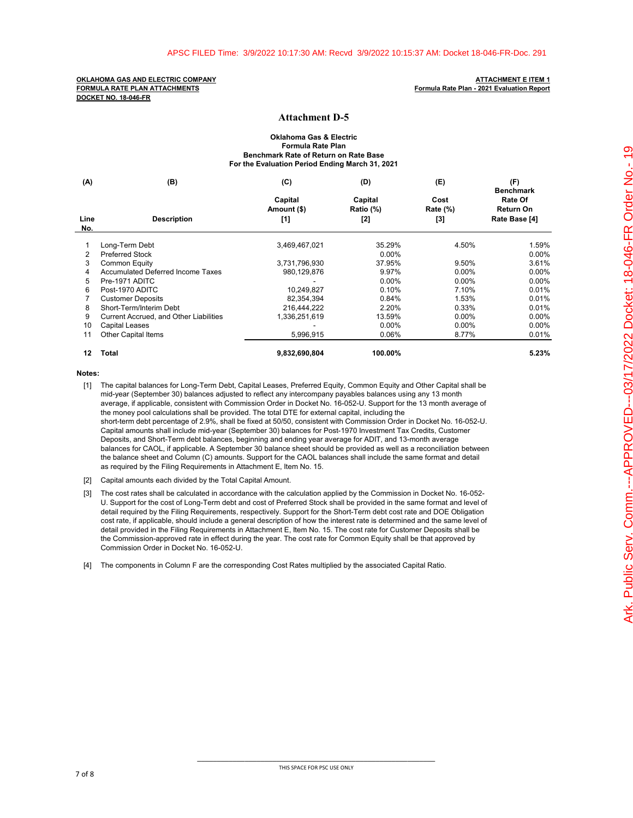### **Attachment D-5**

### **Oklahoma Gas & Electric Formula Rate Plan Benchmark Rate of Return on Rate Base For the Evaluation Period Ending March 31, 2021**

| (A)         | (B)                                      | (C)                    | (D)                  | (E)                     | (F)                                      |
|-------------|------------------------------------------|------------------------|----------------------|-------------------------|------------------------------------------|
|             |                                          | Capital<br>Amount (\$) | Capital<br>Ratio (%) | Cost<br><b>Rate (%)</b> | <b>Benchmark</b><br>Rate Of<br>Return On |
| Line<br>No. | <b>Description</b>                       | [1]                    | $[2]$                | [3]                     | Rate Base [4]                            |
|             | Long-Term Debt                           | 3,469,467,021          | 35.29%               | 4.50%                   | 1.59%                                    |
| 2           | <b>Preferred Stock</b>                   |                        | $0.00\%$             |                         | 0.00%                                    |
| 3           | <b>Common Equity</b>                     | 3,731,796,930          | 37.95%               | 9.50%                   | 3.61%                                    |
| 4           | <b>Accumulated Deferred Income Taxes</b> | 980,129,876            | 9.97%                | $0.00\%$                | 0.00%                                    |
| 5           | Pre-1971 ADITC                           |                        | $0.00\%$             | $0.00\%$                | 0.00%                                    |
| 6           | Post-1970 ADITC                          | 10,249,827             | 0.10%                | 7.10%                   | 0.01%                                    |
|             | <b>Customer Deposits</b>                 | 82.354.394             | 0.84%                | 1.53%                   | 0.01%                                    |
| 8           | Short-Term/Interim Debt                  | 216,444,222            | 2.20%                | 0.33%                   | 0.01%                                    |
| 9           | Current Accrued, and Other Liabilities   | 1,336,251,619          | 13.59%               | 0.00%                   | 0.00%                                    |
| 10          | <b>Capital Leases</b>                    |                        | $0.00\%$             | $0.00\%$                | 0.00%                                    |
| 11          | <b>Other Capital Items</b>               | 5,996,915              | 0.06%                | 8.77%                   | 0.01%                                    |
| 12          | <b>Total</b>                             | 9,832,690,804          | 100.00%              |                         | 5.23%                                    |

**Notes:**

- [1] The capital balances for Long-Term Debt, Capital Leases, Preferred Equity, Common Equity and Other Capital shall be mid-year (September 30) balances adjusted to reflect any intercompany payables balances using any 13 month average, if applicable, consistent with Commission Order in Docket No. 16-052-U. Support for the 13 month average of the money pool calculations shall be provided. The total DTE for external capital, including the short-term debt percentage of 2.9%, shall be fixed at 50/50, consistent with Commission Order in Docket No. 16-052-U. Capital amounts shall include mid-year (September 30) balances for Post-1970 Investment Tax Credits, Customer Deposits, and Short-Term debt balances, beginning and ending year average for ADIT, and 13-month average balances for CAOL, if applicable. A September 30 balance sheet should be provided as well as a reconciliation between the balance sheet and Column (C) amounts. Support for the CAOL balances shall include the same format and detail as required by the Filing Requirements in Attachment E, Item No. 15.
- [2] Capital amounts each divided by the Total Capital Amount.
- [3] The cost rates shall be calculated in accordance with the calculation applied by the Commission in Docket No. 16-052- U. Support for the cost of Long-Term debt and cost of Preferred Stock shall be provided in the same format and level of detail required by the Filing Requirements, respectively. Support for the Short-Term debt cost rate and DOE Obligation cost rate, if applicable, should include a general description of how the interest rate is determined and the same level of detail provided in the Filing Requirements in Attachment E, Item No. 15. The cost rate for Customer Deposits shall be the Commission-approved rate in effect during the year. The cost rate for Common Equity shall be that approved by Commission Order in Docket No. 16-052-U.

[4] The components in Column F are the corresponding Cost Rates multiplied by the associated Capital Ratio.